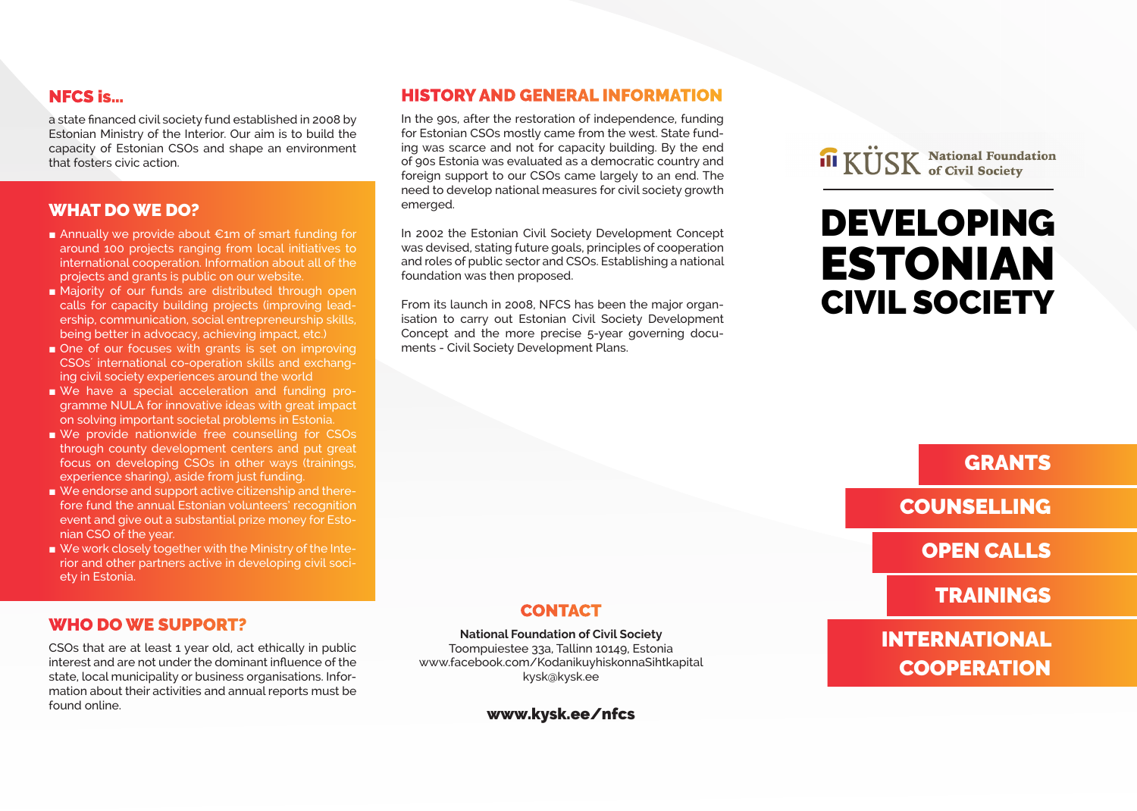## NFCS is…

a state financed civil society fund established in 2008 by Estonian Ministry of the Interior. Our aim is to build the capacity of Estonian CSOs and shape an environment that fosters civic action.

#### WHAT DO WE DO?

- Annually we provide about €1m of smart funding for around 100 projects ranging from local initiatives to international cooperation. Information about all of the projects and grants is public on our website.
- Majority of our funds are distributed through open calls for capacity building projects (improving leadership, communication, social entrepreneurship skills, being better in advocacy, achieving impact, etc.)
- One of our focuses with grants is set on improving CSOs´ international co-operation skills and exchanging civil society experiences around the world
- We have a special acceleration and funding programme NULA for innovative ideas with great impact on solving important societal problems in Estonia.
- We provide nationwide free counselling for CSOs through county development centers and put great focus on developing CSOs in other ways (trainings, experience sharing), aside from just funding.
- We endorse and support active citizenship and therefore fund the annual Estonian volunteers' recognition event and give out a substantial prize money for Estonian CSO of the year.
- We work closely together with the Ministry of the Interior and other partners active in developing civil society in Estonia.

### WHO DO WE SUPPORT?

CSOs that are at least 1 year old, act ethically in public interest and are not under the dominant influence of the state, local municipality or business organisations. Information about their activities and annual reports must be found online.

### HISTORY AND GENERAL INFORMATION

In the 90s, after the restoration of independence, funding for Estonian CSOs mostly came from the west. State funding was scarce and not for capacity building. By the end of 90s Estonia was evaluated as a democratic country and foreign support to our CSOs came largely to an end. The need to develop national measures for civil society growth emerged.

In 2002 the Estonian Civil Society Development Concept was devised, stating future goals, principles of cooperation and roles of public sector and CSOs. Establishing a national foundation was then proposed.

From its launch in 2008, NFCS has been the major organisation to carry out Estonian Civil Society Development Concept and the more precise 5-year governing documents - Civil Society Development Plans.

**III KÜSK** National Foundation

# DEVELOPING ESTONIAN CIVIL SOCIETY

## **GRANTS**

COUNSELLING

## OPEN CALLS

TRAININGS

## INTERNATIONAL **COOPERATION**

## **CONTACT**

#### **National Foundation of Civil Society**

Toompuiestee 33a, Tallinn 10149, Estonia www.facebook.com/KodanikuyhiskonnaSihtkapital kysk@kysk.ee

www.kysk.ee/nfcs